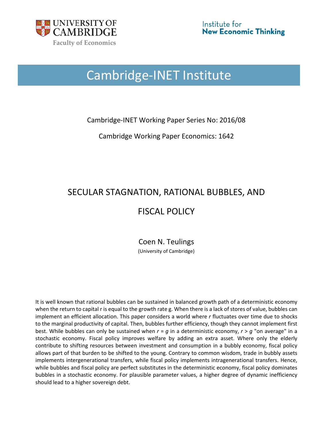

# Cambridge-INET Institute

Cambridge-INET Working Paper Series No: 2016/08

Cambridge Working Paper Economics: 1642

# SECULAR STAGNATION, RATIONAL BUBBLES, AND

# FISCAL POLICY

Coen N. Teulings (University of Cambridge)

It is well known that rational bubbles can be sustained in balanced growth path of a deterministic economy when the return to capital r is equal to the growth rate g. When there is a lack of stores of value, bubbles can implement an efficient allocation. This paper considers a world where *r* fluctuates over time due to shocks to the marginal productivity of capital. Then, bubbles further efficiency, though they cannot implement first best. While bubbles can only be sustained when *r* = *g* in a deterministic economy, *r* > *g* "on average" in a stochastic economy. Fiscal policy improves welfare by adding an extra asset. Where only the elderly contribute to shifting resources between investment and consumption in a bubbly economy, fiscal policy allows part of that burden to be shifted to the young. Contrary to common wisdom, trade in bubbly assets implements intergenerational transfers, while fiscal policy implements intragenerational transfers. Hence, while bubbles and fiscal policy are perfect substitutes in the deterministic economy, fiscal policy dominates bubbles in a stochastic economy. For plausible parameter values, a higher degree of dynamic inefficiency should lead to a higher sovereign debt.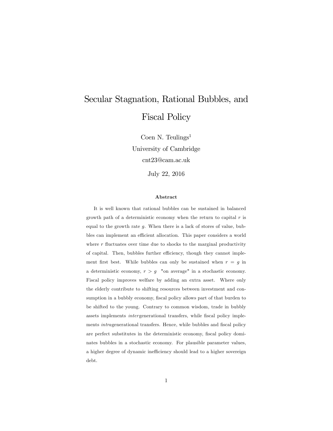# Secular Stagnation, Rational Bubbles, and Fiscal Policy

Coen N. Teulings<sup>1</sup> University of Cambridge cnt23@cam.ac.uk July 22, 2016

#### Abstract

It is well known that rational bubbles can be sustained in balanced growth path of a deterministic economy when the return to capital  $r$  is equal to the growth rate g. When there is a lack of stores of value, bubbles can implement an efficient allocation. This paper considers a world where  $r$  fluctuates over time due to shocks to the marginal productivity of capital. Then, bubbles further efficiency, though they cannot implement first best. While bubbles can only be sustained when  $r = g$  in a deterministic economy,  $r > g$  "on average" in a stochastic economy. Fiscal policy improves welfare by adding an extra asset. Where only the elderly contribute to shifting resources between investment and consumption in a bubbly economy, fiscal policy allows part of that burden to be shifted to the young. Contrary to common wisdom, trade in bubbly assets implements *intergenerational* transfers, while fiscal policy implements *intragenerational transfers*. Hence, while bubbles and fiscal policy are perfect substitutes in the deterministic economy, fiscal policy dominates bubbles in a stochastic economy. For plausible parameter values, a higher degree of dynamic inefficiency should lead to a higher sovereign debt.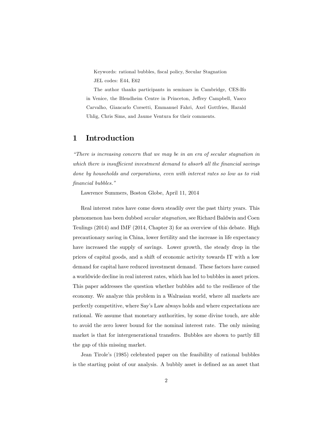Keywords: rational bubbles, fiscal policy, Secular Stagnation JEL codes: E44, E62

The author thanks participants in seminars in Cambridge, CES-Ifo in Venice, the Blendheim Centre in Princeton, Jeffrey Campbell, Vasco Carvalho, Giancarlo Corsetti, Emmanuel Fahri, Axel Gottfries, Harald Uhlig, Chris Sims, and Jaume Ventura for their comments.

## 1 Introduction

 ${}<sup>4</sup>$ There is increasing concern that we may be in an era of secular stagnation in which there is insufficient investment demand to absorb all the financial savings done by households and corporations, even with interest rates so low as to risk financial bubbles."

Lawrence Summers, Boston Globe, April 11, 2014

Real interest rates have come down steadily over the past thirty years. This phenomenon has been dubbed secular stagnation, see Richard Baldwin and Coen Teulings (2014) and IMF (2014, Chapter 3) for an overview of this debate. High precautionary saving in China, lower fertility and the increase in life expectancy have increased the supply of savings. Lower growth, the steady drop in the prices of capital goods, and a shift of economic activity towards IT with a low demand for capital have reduced investment demand. These factors have caused a worldwide decline in real interest rates, which has led to bubbles in asset prices. This paper addresses the question whether bubbles add to the resilience of the economy. We analyze this problem in a Walrasian world, where all markets are perfectly competitive, where Sayís Law always holds and where expectations are rational. We assume that monetary authorities, by some divine touch, are able to avoid the zero lower bound for the nominal interest rate. The only missing market is that for intergenerational transfers. Bubbles are shown to partly fill the gap of this missing market.

Jean Tiroleís (1985) celebrated paper on the feasibility of rational bubbles is the starting point of our analysis. A bubbly asset is defined as an asset that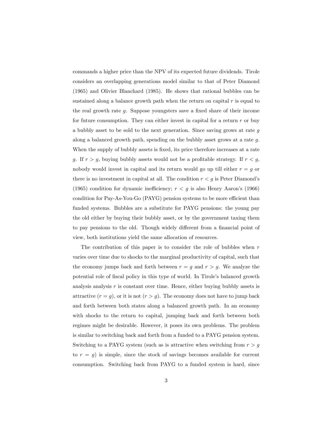commands a higher price than the NPV of its expected future dividends. Tirole considers an overlapping generations model similar to that of Peter Diamond (1965) and Olivier Blanchard (1985). He shows that rational bubbles can be sustained along a balance growth path when the return on capital  $r$  is equal to the real growth rate  $g$ . Suppose youngsters save a fixed share of their income for future consumption. They can either invest in capital for a return  $r$  or buy a bubbly asset to be sold to the next generation. Since saving grows at rate g along a balanced growth path, spending on the bubbly asset grows at a rate g. When the supply of bubbly assets is fixed, its price therefore increases at a rate g. If  $r > g$ , buying bubbly assets would not be a profitable strategy. If  $r < g$ , nobody would invest in capital and its return would go up till either  $r = g$  or there is no investment in capital at all. The condition  $r < g$  is Peter Diamond's (1965) condition for dynamic inefficiency;  $r < g$  is also Henry Aaron's (1966) condition for Pay-As-You-Go  $(PAYG)$  pension systems to be more efficient than funded systems. Bubbles are a substitute for PAYG pensions: the young pay the old either by buying their bubbly asset, or by the government taxing them to pay pensions to the old. Though widely different from a financial point of view, both institutions yield the same allocation of resources.

The contribution of this paper is to consider the role of bubbles when  $r$ varies over time due to shocks to the marginal productivity of capital, such that the economy jumps back and forth between  $r = g$  and  $r > g$ . We analyze the potential role of fiscal policy in this type of world. In Tirole's balanced growth analysis analysis  $r$  is constant over time. Hence, either buying bubbly assets is attractive  $(r = g)$ , or it is not  $(r > g)$ . The economy does not have to jump back and forth between both states along a balanced growth path. In an economy with shocks to the return to capital, jumping back and forth between both regimes might be desirable. However, it poses its own problems. The problem is similar to switching back and forth from a funded to a PAYG pension system. Switching to a PAYG system (such as is attractive when switching from  $r > g$ to  $r = g$  is simple, since the stock of savings becomes available for current consumption. Switching back from PAYG to a funded system is hard, since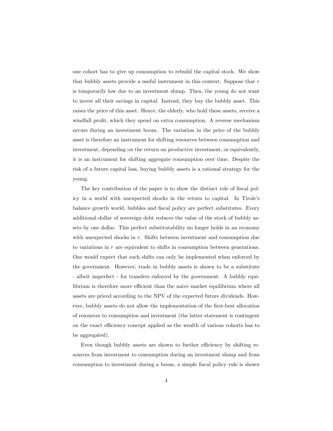one cohort has to give up consumption to rebuild the capital stock. We show that bubbly assets provide a useful instrument in this context. Suppose that  $r$ is temporarily low due to an investment slump. Then, the young do not want to invest all their savings in capital. Instead, they buy the bubbly asset. This raises the price of this asset. Hence, the elderly, who hold these assets, receive a windfall profit, which they spend on extra consumption. A reverse mechanism occurs during an investment boom. The variation in the price of the bubbly asset is therefore an instrument for shifting resources between consumption and investment, depending on the return on productive investment, or equivalently, it is an instrument for shifting aggregate consumption over time. Despite the risk of a future capital loss, buying bubbly assets is a rational strategy for the young.

The key contribution of the paper is to show the distinct role of fiscal policy in a world with unexpected shocks in the return to capital. In Tirole's balance growth world, bubbles and fiscal policy are perfect substitutes. Every additional dollar of sovereign debt reduces the value of the stock of bubbly assets by one dollar. This perfect substitutability no longer holds in an economy with unexpected shocks in  $r$ . Shifts between investment and consumption due to variations in r are equivalent to shifts in consumption between generations. One would expect that such shifts can only be implemented when enforced by the government. However, trade in bubbly assets is shown to be a substitute - albeit imperfect - for transfers enforced by the government. A bubbly equilibrium is therefore more efficient than the naive market equilibrium where all assets are priced according to the NPV of the expected future dividends. However, bubbly assets do not allow the implementation of the Örst-best allocation of resources to consumption and investment (the latter statement is contingent on the exact efficiency concept applied as the wealth of various cohorts has to be aggregated).

Even though bubbly assets are shown to further efficiency by shifting resources from investment to consumption during an investment slump and from consumption to investment during a boom, a simple fiscal policy rule is shown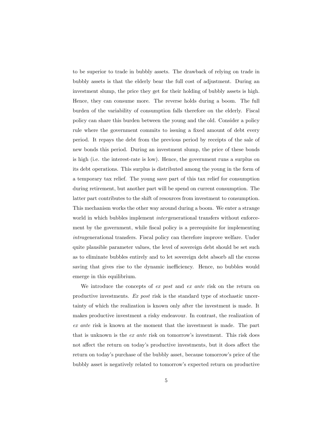to be superior to trade in bubbly assets. The drawback of relying on trade in bubbly assets is that the elderly bear the full cost of adjustment. During an investment slump, the price they get for their holding of bubbly assets is high. Hence, they can consume more. The reverse holds during a boom. The full burden of the variability of consumption falls therefore on the elderly. Fiscal policy can share this burden between the young and the old. Consider a policy rule where the government commits to issuing a fixed amount of debt every period. It repays the debt from the previous period by receipts of the sale of new bonds this period. During an investment slump, the price of these bonds is high (i.e. the interest-rate is low). Hence, the government runs a surplus on its debt operations. This surplus is distributed among the young in the form of a temporary tax relief. The young save part of this tax relief for consumption during retirement, but another part will be spend on current consumption. The latter part contributes to the shift of resources from investment to consumption. This mechanism works the other way around during a boom. We enter a strange world in which bubbles implement *intergenerational* transfers without enforcement by the government, while fiscal policy is a prerequisite for implementing intragenerational transfers. Fiscal policy can therefore improve welfare. Under quite plausible parameter values, the level of sovereign debt should be set such as to eliminate bubbles entirely and to let sovereign debt absorb all the excess saving that gives rise to the dynamic inefficiency. Hence, no bubbles would emerge in this equilibrium.

We introduce the concepts of ex post and ex ante risk on the return on productive investments. Ex post risk is the standard type of stochastic uncertainty of which the realization is known only after the investment is made. It makes productive investment a risky endeavour. In contrast, the realization of ex ante risk is known at the moment that the investment is made. The part that is unknown is the  $ex$  ante risk on tomorrow's investment. This risk does not affect the return on today's productive investments, but it does affect the return on todayís purchase of the bubbly asset, because tomorrowís price of the bubbly asset is negatively related to tomorrowís expected return on productive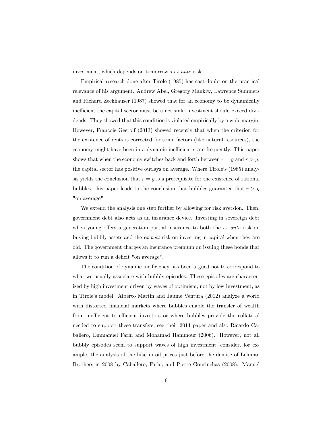investment, which depends on tomorrow's ex ante risk.

Empirical research done after Tirole (1985) has cast doubt on the practical relevance of his argument. Andrew Abel, Gregory Mankiw, Lawrence Summers and Richard Zeckhauser (1987) showed that for an economy to be dynamically inefficient the capital sector must be a net sink: investment should exceed dividends. They showed that this condition is violated empirically by a wide margin. However, Francois Geerolf (2013) showed recently that when the criterion for the existence of rents is corrected for some factors (like natural resources), the economy might have been in a dynamic inefficient state frequently. This paper shows that when the economy switches back and forth between  $r = g$  and  $r > g$ , the capital sector has positive outlays on average. Where Tirole's (1985) analysis yields the conclusion that  $r = g$  is a prerequisite for the existence of rational bubbles, this paper leads to the conclusion that bubbles guarantee that  $r > g$ "on average".

We extend the analysis one step further by allowing for risk aversion. Then, government debt also acts as an insurance device. Investing in sovereign debt when young offers a generation partial insurance to both the  $ex$  ante risk on buying bubbly assets and the ex post risk on investing in capital when they are old. The government charges an insurance premium on issuing these bonds that allows it to run a deficit "on average".

The condition of dynamic inefficiency has been argued not to correspond to what we usually associate with bubbly episodes. These episodes are characterized by high investment driven by waves of optimism, not by low investment, as in Tiroleís model. Alberto Martin and Jaume Ventura (2012) analyze a world with distorted financial markets where bubbles enable the transfer of wealth from inefficient to efficient investors or where bubbles provide the collateral needed to support these transfers, see their 2014 paper and also Ricardo Caballero, Emmanuel Farhi and Mohamad Hammour (2006). However, not all bubbly episodes seem to support waves of high investment, consider, for example, the analysis of the hike in oil prices just before the demise of Lehman Brothers in 2008 by Caballero, Farhi, and Pierre Gourinchas (2008). Manuel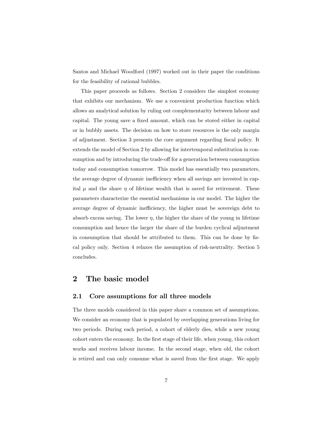Santos and Michael Woodford (1997) worked out in their paper the conditions for the feasibility of rational bubbles.

This paper proceeds as follows. Section 2 considers the simplest economy that exhibits our mechanism. We use a convenient production function which allows an analytical solution by ruling out complementarity between labour and capital. The young save a fixed amount, which can be stored either in capital or in bubbly assets. The decision on how to store resources is the only margin of adjustment. Section 3 presents the core argument regarding fiscal policy. It extends the model of Section 2 by allowing for intertemporal substitution in consumption and by introducing the trade-off for a generation between consumption today and consumption tomorrow. This model has essentially two parameters, the average degree of dynamic inefficiency when all savings are invested in capital  $\mu$  and the share  $\eta$  of lifetime wealth that is saved for retirement. These parameters characterize the essential mechanisms in our model. The higher the average degree of dynamic inefficiency, the higher must be sovereign debt to absorb excess saving. The lower  $\eta$ , the higher the share of the young in lifetime consumption and hence the larger the share of the burden cyclical adjustment in consumption that should be attributed to them. This can be done by fiscal policy only. Section 4 relaxes the assumption of risk-neutrality. Section 5 concludes.

## 2 The basic model

#### 2.1 Core assumptions for all three models

The three models considered in this paper share a common set of assumptions. We consider an economy that is populated by overlapping generations living for two periods. During each period, a cohort of elderly dies, while a new young cohort enters the economy. In the Örst stage of their life, when young, this cohort works and receives labour income. In the second stage, when old, the cohort is retired and can only consume what is saved from the first stage. We apply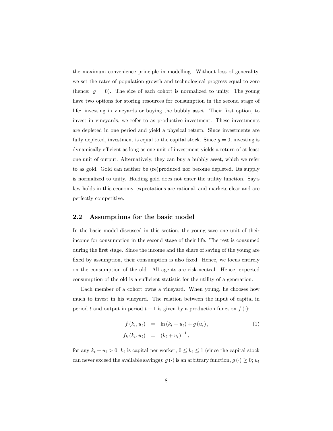the maximum convenience principle in modelling. Without loss of generality, we set the rates of population growth and technological progress equal to zero (hence:  $g = 0$ ). The size of each cohort is normalized to unity. The young have two options for storing resources for consumption in the second stage of life: investing in vineyards or buying the bubbly asset. Their first option, to invest in vineyards, we refer to as productive investment. These investments are depleted in one period and yield a physical return. Since investments are fully depleted, investment is equal to the capital stock. Since  $g = 0$ , investing is dynamically efficient as long as one unit of investment yields a return of at least one unit of output. Alternatively, they can buy a bubbly asset, which we refer to as gold. Gold can neither be (re)produced nor become depleted. Its supply is normalized to unity. Holding gold does not enter the utility function. Say's law holds in this economy, expectations are rational, and markets clear and are perfectly competitive.

#### 2.2 Assumptions for the basic model

In the basic model discussed in this section, the young save one unit of their income for consumption in the second stage of their life. The rest is consumed during the first stage. Since the income and the share of saving of the young are fixed by assumption, their consumption is also fixed. Hence, we focus entirely on the consumption of the old. All agents are risk-neutral. Hence, expected consumption of the old is a sufficient statistic for the utility of a generation.

Each member of a cohort owns a vineyard. When young, he chooses how much to invest in his vineyard. The relation between the input of capital in period t and output in period  $t + 1$  is given by a production function  $f(\cdot)$ :

$$
f(k_t, u_t) = \ln (k_t + u_t) + g(u_t),
$$
  
\n
$$
f_k(k_t, u_t) = (k_t + u_t)^{-1},
$$
\n(1)

for any  $k_t + u_t > 0$ ;  $k_t$  is capital per worker,  $0 \le k_t \le 1$  (since the capital stock can never exceed the available savings);  $g(\cdot)$  is an arbitrary function,  $g(\cdot) \geq 0$ ;  $u_t$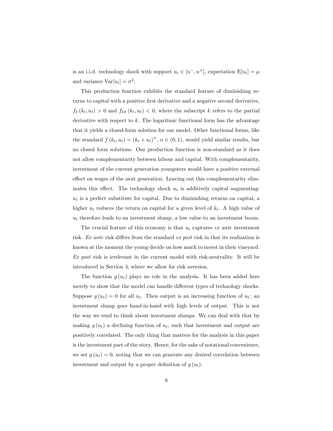is an i.i.d. technology shock with support  $u_t \in [u^-, u^+]$ , expectation  $E[u_t] = \mu$ and variance  $Var[u_t] = \sigma^2$ .

This production function exhibits the standard feature of diminishing returns to capital with a positive first derivative and a negative second derivative,  $f_k(k_t, u_t) > 0$  and  $f_{kk}(k_t, u_t) < 0$ , where the subscript k refers to the partial derivative with respect to k. The logaritmic functional form has the advantage that it yields a closed-form solution for our model. Other functional forms, like the standard  $f(k_t, u_t) = (k_t + u_t)^{\alpha}, \alpha \in (0, 1)$ , would yield similar results, but no closed form solutions. Our production function is non-standard as it does not allow complementarity between labour and capital. With complementarity, investment of the current generation youngsters would have a positive external effect on wages of the next generation. Leaving out this complementarity eliminates this effect. The technology shock  $u_t$  is additively capital augmenting:  $u_t$  is a perfect substitute for capital. Due to diminishing returns on capital, a higher  $u_t$  reduces the return on capital for a given level of  $k_t$ . A high value of  $u_t$  therefore leads to an investment slump, a low value to an investment boom.

The crucial feature of this economy is that  $u_t$  captures ex ante investment risk. Ex ante risk differs from the standard ex post risk in that its realization is known at the moment the young decide on how much to invest in their vineyard.  $Ex\ post$  risk is irrelevant in the current model with risk-neutrality. It will be introduced in Section 4, where we allow for risk aversion.

The function  $g(u_t)$  plays no role in the analysis. It has been added here merely to show that the model can handle different types of technology shocks. Suppose  $g(u_t) = 0$  for all  $u_t$ . Then output is an increasing function of  $u_t$ : an investment slump goes hand-in-hand with high levels of output. This is not the way we tend to think about investment slumps. We can deal with that by making  $g(u_t)$  a declining function of  $u_t$ , such that investment and output are positively correlated. The only thing that matters for the analysis in this paper is the investment part of the story. Hence, for the sake of notational convenience, we set  $g(u_t) = 0$ , noting that we can generate any desired correlation between investment and output by a proper definition of  $g(u_t)$ .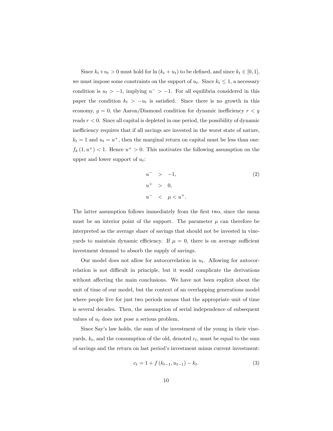Since  $k_t + u_t > 0$  must hold for  $\ln (k_t + u_t)$  to be defined, and since  $k_t \in [0, 1]$ , we must impose some constraints on the support of  $u_t$ . Since  $k_t \leq 1$ , a necessary condition is  $u_t > -1$ , implying  $u^- > -1$ . For all equilibria considered in this paper the condition  $k_t > -u_t$  is satisfied. Since there is no growth in this economy,  $g = 0$ , the Aaron/Diamond condition for dynamic inefficiency  $r < g$ reads  $r < 0$ . Since all capital is depleted in one period, the possibility of dynamic inefficiency requires that if all savings are invested in the worst state of nature,  $k_t = 1$  and  $u_t = u^+$ , then the marginal return on capital must be less than one:  $f_k(1, u^+) < 1$ . Hence  $u^+ > 0$ . This motivates the following assumption on the upper and lower support of  $u_t$ :

$$
u^{-} > -1,
$$
  
\n
$$
u^{+} > 0,
$$
  
\n
$$
u^{-} < \mu < u^{+}.
$$
\n(2)

The latter assumption follows immediately from the first two, since the mean must be an interior point of the support. The parameter  $\mu$  can therefore be interpreted as the average share of savings that should not be invested in vineyards to maintain dynamic efficiency. If  $\mu = 0$ , there is on average sufficient investment demand to absorb the supply of savings.

Our model does not allow for autocorrelation in  $u_t$ . Allowing for autocorrelation is not difficult in principle, but it would complicate the derivations without affecting the main conclusions. We have not been explicit about the unit of time of our model, but the context of an overlapping generations model where people live for just two periods means that the appropriate unit of time is several decades. Then, the assumption of serial independence of subsequent values of  $u_t$  does not pose a serious problem.

Since Say's law holds, the sum of the investment of the young in their vineyards,  $k_t$ , and the consumption of the old, denoted  $c_t$ , must be equal to the sum of savings and the return on last periodís investment minus current investment:

$$
c_t = 1 + f(k_{t-1}, u_{t-1}) - k_t.
$$
 (3)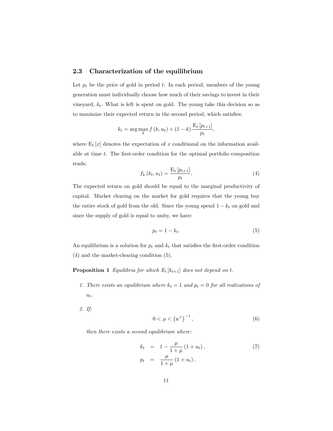#### 2.3 Characterization of the equilibrium

Let  $p_t$  be the price of gold in period t. In each period, members of the young generation must individually choose how much of their savings to invest in their vineyard,  $k_t$ . What is left is spent on gold. The young take this decision so as to maximize their expected return in the second period, which satisfies:

$$
k_t = \arg\max_k f(k, u_t) + (1 - k) \frac{\mathrm{E}_t[p_{t+1}]}{p_t},
$$

where  $E_t[x]$  denotes the expectation of x conditional on the information available at time  $t$ . The first-order condition for the optimal portfolio composition reads:

$$
f_k(k_t, u_t) = \frac{\mathbf{E}_t \left[ p_{t+1} \right]}{p_t}.
$$
 (4)

The expected return on gold should be equal to the marginal productivity of capital. Market clearing on the market for gold requires that the young buy the entire stock of gold from the old. Since the young spend  $1 - k_t$  on gold and since the supply of gold is equal to unity, we have:

$$
p_t = 1 - k_t. \tag{5}
$$

An equilibrium is a solution for  $p_t$  and  $k_t$  that satisfies the first-order condition (4) and the market-clearing condition (5).

**Proposition 1** Equilibria for which  $E_t$  [ $k_{t+1}$ ] does not depend on t.

1. There exists an equilibrium where  $k_t = 1$  and  $p_t = 0$  for all realizations of  $u_t$ .

2. If:

$$
0 < \mu < \left(u^+\right)^{-1},\tag{6}
$$

then there exists a second equilibrium where:

$$
k_t = 1 - \frac{\mu}{1 + \mu} (1 + u_t),
$$
  
\n
$$
p_t = \frac{\mu}{1 + \mu} (1 + u_t).
$$
\n(7)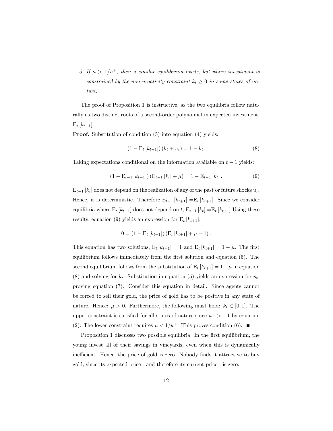3. If  $\mu > 1/u^+$ , then a similar equilibrium exists, but where investment is constrained by the non-negativity constraint  $k_t \geq 0$  in some states of nature.

The proof of Proposition 1 is instructive, as the two equilibria follow naturally as two distinct roots of a second-order polynomial in expected investment,  $E_t [k_{t+1}].$ 

Proof. Substitution of condition  $(5)$  into equation  $(4)$  yields:

$$
(1 - \mathbf{E}_t [k_{t+1}]) (k_t + u_t) = 1 - k_t.
$$
 (8)

Taking expectations conditional on the information available on  $t - 1$  yields:

$$
(1 - \mathbf{E}_{t-1}[k_{t+1}]) (\mathbf{E}_{t-1}[k_t] + \mu) = 1 - \mathbf{E}_{t-1}[k_t].
$$
\n(9)

 $E_{t-1}$  [ $k_t$ ] does not depend on the realization of any of the past or future shocks  $u_t$ . Hence, it is deterministic. Therefore  $E_{t-1} [k_{t+1}] = E_t [k_{t+1}]$ . Since we consider equilibria where  $E_t$  [ $k_{t+1}$ ] does not depend on  $t$ ,  $E_{t-1}$  [ $k_t$ ] = $E_t$  [ $k_{t+1}$ ] Using these results, equation (9) yields an expression for  $E_t$  [ $k_{t+1}$ ]:

$$
0 = (1 - \mathbf{E}_t [k_{t+1}]) (\mathbf{E}_t [k_{t+1}] + \mu - 1).
$$

This equation has two solutions,  $E_t$  [ $k_{t+1}$ ] = 1 and  $E_t$  [ $k_{t+1}$ ] = 1 -  $\mu$ . The first equilibrium follows immediately from the first solution and equation  $(5)$ . The second equilibrium follows from the substitution of  $E_t$  [ $k_{t+1}$ ] = 1 -  $\mu$  in equation (8) and solving for  $k_t$ . Substitution in equation (5) yields an expression for  $p_t$ , proving equation (7). Consider this equation in detail. Since agents cannot be forced to sell their gold, the price of gold has to be positive in any state of nature. Hence:  $\mu > 0$ . Furthermore, the following must hold:  $k_t \in [0, 1]$ . The upper constraint is satisfied for all states of nature since  $u^{-} > -1$  by equation (2). The lower constraint requires  $\mu < 1/u^+$ . This proves condition (6).

Proposition 1 discusses two possible equilibria. In the first equilibrium, the young invest all of their savings in vineyards, even when this is dynamically inefficient. Hence, the price of gold is zero. Nobody finds it attractive to buy gold, since its expected price - and therefore its current price - is zero.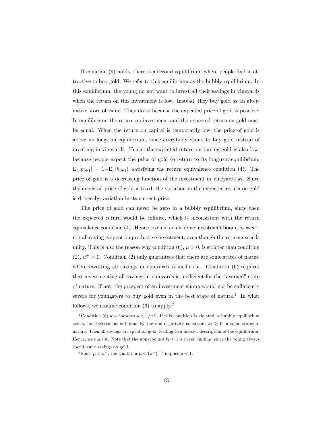If equation  $(6)$  holds, there is a second equilibrium where people find it attractive to buy gold. We refer to this equilibrium as the bubbly equilibrium. In this equilibrium, the young do not want to invest all their savings in vineyards when the return on this investment is low. Instead, they buy gold as an alternative store of value. They do so because the expected price of gold is positive. In equilibrium, the return on investment and the expected return on gold must be equal. When the return on capital is temporarily low, the price of gold is above its long-run equilibrium, since everybody wants to buy gold instead of investing in vineyards. Hence, the expected return on buying gold is also low, because people expect the price of gold to return to its long-run equilibrium,  $E_t[p_{t+1}] = 1-E_t[k_{t+1}],$  satisfying the return equivalence condition (4). The price of gold is a decreasing function of the investment in vineyards  $k_t$ . Since the expected price of gold is fixed, the variation in the expected return on gold is driven by variation in its current price.

The price of gold can never be zero in a bubbly equilibrium, since then the expected return would be infinite, which is inconsistent with the return equivalence condition (4). Hence, even in an extreme investment boom,  $u_t = u^-,$ not all saving is spent on productive investment, even though the return exceeds unity. This is also the reason why condition  $(6)$ ,  $\mu > 0$ , is stricter than condition  $(2), u^+ > 0.$  Condition  $(2)$  only guarantees that there are some states of nature where investing all savings in vineyards is inefficient. Condition  $(6)$  requires that investmenting all savings in vineyards is inefficient for the "average" state of nature. If not, the prospect of an investment slump would not be sufficiently severe for youngsters to buy gold even in the best state of nature.<sup>1</sup> In what follows, we assume condition  $(6)$  to apply.<sup>2</sup>

<sup>&</sup>lt;sup>1</sup> Condition (6) also imposes  $\mu < 1/u^+$ . If this condition is violated, a bubbly equilibrium exists, but investment is bound by the non-negativity constraint  $k_t \geq 0$  in some states of nature. Then all savings are spent on gold, leading to a messier description of the equilibrium. Hence, we omit it. Note that the upperbound  $k_t \leq 1$  is never binding, since the young always spend some savings on gold.

<sup>&</sup>lt;sup>2</sup>Since  $\mu < u^+$ , the condition  $\mu < (u^+)^{-1}$  implies  $\mu < 1$ .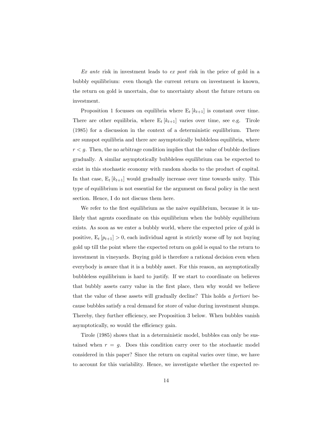Ex ante risk in investment leads to ex post risk in the price of gold in a bubbly equilibrium: even though the current return on investment is known, the return on gold is uncertain, due to uncertainty about the future return on investment.

Proposition 1 focusses on equilibria where  $E_t$  [ $k_{t+1}$ ] is constant over time. There are other equilibria, where  $E_t [k_{t+1}]$  varies over time, see e.g. Tirole (1985) for a discussion in the context of a deterministic equilibrium. There are sunspot equilibria and there are asymptotically bubbleless equilibria, where  $r < g$ . Then, the no arbitrage condition implies that the value of bubble declines gradually. A similar asymptotically bubbleless equilibrium can be expected to exist in this stochastic economy with random shocks to the product of capital. In that case,  $E_t$  [ $k_{t+1}$ ] would gradually increase over time towards unity. This type of equilibrium is not essential for the argument on fiscal policy in the next section. Hence, I do not discuss them here.

We refer to the first equilibrium as the naive equilibrium, because it is unlikely that agents coordinate on this equilibrium when the bubbly equilibrium exists. As soon as we enter a bubbly world, where the expected price of gold is positive,  $E_t[p_{t+1}] > 0$ , each individual agent is strictly worse off by not buying gold up till the point where the expected return on gold is equal to the return to investment in vineyards. Buying gold is therefore a rational decision even when everybody is aware that it is a bubbly asset. For this reason, an asymptotically bubbleless equilibrium is hard to justify. If we start to coordinate on believes that bubbly assets carry value in the first place, then why would we believe that the value of these assets will gradually decline? This holds a fortiori because bubbles satisfy a real demand for store of value during investment slumps. Thereby, they further efficiency, see Proposition 3 below. When bubbles vanish asymptotically, so would the efficiency gain.

Tirole (1985) shows that in a deterministic model, bubbles can only be sustained when  $r = g$ . Does this condition carry over to the stochastic model considered in this paper? Since the return on capital varies over time, we have to account for this variability. Hence, we investigate whether the expected re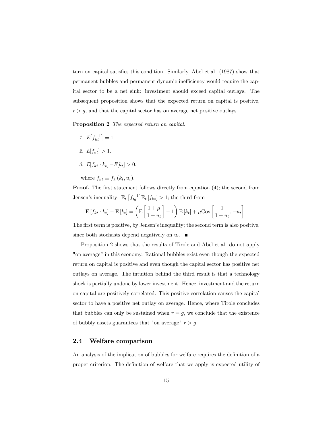turn on capital satisfies this condition. Similarly, Abel et.al. (1987) show that permanent bubbles and permanent dynamic inefficiency would require the capital sector to be a net sink: investment should exceed capital outlays. The subsequent proposition shows that the expected return on capital is positive,  $r > g$ , and that the capital sector has on average net positive outlays.

Proposition 2 The expected return on capital.

1.  $E[f_{kt}^{-1}] = 1.$ 2.  $E[f_{kt}] > 1$ . 3.  $E[f_{kt} \cdot k_t] - E[k_t] > 0.$ 

where  $f_{kt} \equiv f_k (k_t, u_t)$ .

**Proof.** The first statement follows directly from equation (4); the second from Jensen's inequality:  $E_t\left[f_{kt}^{-1}\right]E_t\left[f_{kt}\right] > 1$ ; the third from

$$
\mathbf{E}\left[f_{kt}\cdot k_t\right] - \mathbf{E}\left[k_t\right] = \left(\mathbf{E}\left[\frac{1+\mu}{1+u_t}\right] - 1\right)\mathbf{E}\left[k_t\right] + \mu \text{Cov}\left[\frac{1}{1+u_t}, -u_t\right].
$$

The first term is positive, by Jensen's inequality; the second term is also positive, since both stochasts depend negatively on  $u_t$ .

Proposition 2 shows that the results of Tirole and Abel et.al. do not apply "on average" in this economy. Rational bubbles exist even though the expected return on capital is positive and even though the capital sector has positive net outlays on average. The intuition behind the third result is that a technology shock is partially undone by lower investment. Hence, investment and the return on capital are positively correlated. This positive correlation causes the capital sector to have a positive net outlay on average. Hence, where Tirole concludes that bubbles can only be sustained when  $r = g$ , we conclude that the existence of bubbly assets guarantees that "on average"  $r > g$ .

#### 2.4 Welfare comparison

An analysis of the implication of bubbles for welfare requires the definition of a proper criterion. The definition of welfare that we apply is expected utility of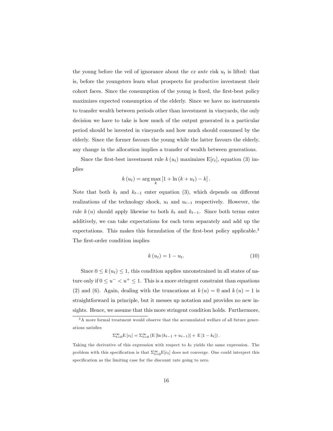the young before the veil of ignorance about the  $ex$  ante risk  $u_t$  is lifted: that is, before the youngsters learn what prospects for productive investment their cohort faces. Since the consumption of the young is fixed, the first-best policy maximizes expected consumption of the elderly. Since we have no instruments to transfer wealth between periods other than investment in vineyards, the only decision we have to take is how much of the output generated in a particular period should be invested in vineyards and how much should consumed by the elderly. Since the former favours the young while the latter favours the elderly, any change in the allocation implies a transfer of wealth between generations.

Since the first-best investment rule  $k (u_t)$  maximizes  $E[c_t]$ , equation (3) implies

$$
k(u_t) = \arg\max_{k} [1 + \ln (k + u_t) - k].
$$

Note that both  $k_t$  and  $k_{t-1}$  enter equation (3), which depends on different realizations of the technology shock,  $u_t$  and  $u_{t-1}$  respectively. However, the rule  $k(u)$  should apply likewise to both  $k_t$  and  $k_{t-1}$ . Since both terms enter additively, we can take expectations for each term separately and add up the expectations. This makes this formulation of the first-best policy applicable.<sup>3</sup> The first-order condition implies

$$
k\left(u_t\right) = 1 - u_t.\tag{10}
$$

Since  $0 \leq k(u_t) \leq 1$ , this condition applies unconstrained in all states of nature only if  $0 \le u^- < u^+ \le 1$ . This is a more stringent constraint than equations (2) and (6). Again, dealing with the truncations at  $k(u) = 0$  and  $k(u) = 1$  is straightforward in principle, but it messes up notation and provides no new insights. Hence, we assume that this more stringent condition holds. Furthermore,

$$
\Sigma_{t=0}^{\infty} \mathbb{E} [c_t] = \Sigma_{t=0}^{\infty} \left( \mathbb{E} [\ln (k_{t-1} + u_{t-1})] + \mathbb{E} [1 - k_t] \right).
$$

 $^3\mbox{\normalfont A}$  more formal treatment would observe that the accumulated welfare of all future generations satisfies

Taking the derivative of this expression with respect to  $k_t$  yields the same expression. The problem with this specification is that  $\Sigma_{t=0}^{\infty}E[c_t]$  does not converge. One could interpret this specification as the limiting case for the discount rate going to zero.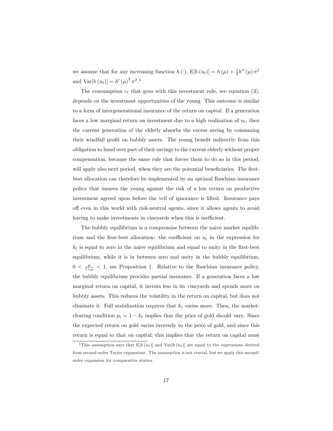we assume that for any increasing function  $h(\cdot)$ ,  $E[h(u_t)] = h(\mu) + \frac{1}{2}h''(\mu)\sigma^2$ and  $\text{Var}[h(u_t)] = h'(\mu)^2 \sigma^2$ .<sup>4</sup>

The consumption  $c_t$  that goes with this investment rule, see equation (3), depends on the investment opportunities of the young. This outcome is similar to a form of intergenerational insurance of the return on capital. If a generation faces a low marginal return on investment due to a high realization of  $u_t$ , then the current generation of the elderly absorbs the excess saving by consuming their windfall profit on bubbly assets. The young benefit indirectly from this obligation to hand over part of their savings to the current elderly without proper compensation, because the same rule that forces them to do so in this period, will apply also next period, when they are the potential beneficiaries. The firstbest allocation can therefore be implemented by an optimal Rawlsian insurance policy that insures the young against the risk of a low return on productive investment agreed upon before the veil of ignorance is lifted. Insurance pays o§ even in this world with risk-neutral agents, since it allows agents to avoid having to make investments in vineyards when this is inefficient.

The bubbly equilibrium is a compromise between the naive market equilibrium and the first-best allocation: the coefficient on  $u_t$  in the expression for  $k_t$  is equal to zero in the naive equilibrium and equal to unity in the first-best equilibrium, while it is in between zero and unity in the bubbly equilibrium,  $0 < \frac{\mu}{1+\mu} < 1$ , see Proposition 1. Relative to the Rawlsian insurance policy, the bubbly equilibrium provides partial insurance. If a generation faces a low marginal return on capital, it invests less in its vineyards and spends more on bubbly assets. This reduces the volatility in the return on capital, but does not eliminate it. Full stabilization requires that  $k_t$  varies more. Then, the marketclearing condition  $p_t = 1 - k_t$  implies that the price of gold should vary. Since the expected return on gold varies inversely to the price of gold, and since this return is equal to that on capital, this implies that the return on capital must

<sup>&</sup>lt;sup>4</sup>This assumption says that  $E[h(u_t)]$  and  $Var[h(u_t)]$  are equal to the expressions derived from second-order Taylor expansions. The assumption is not crucial, but we apply this secondorder expansion for comparative statics.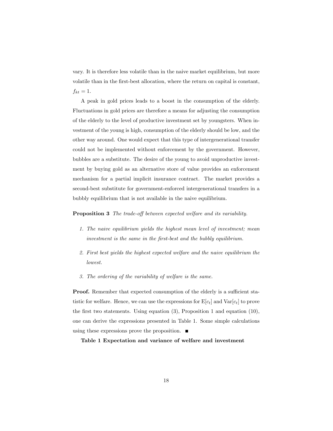vary. It is therefore less volatile than in the naive market equilibrium, but more volatile than in the Örst-best allocation, where the return on capital is constant,  $f_{kt} = 1.$ 

A peak in gold prices leads to a boost in the consumption of the elderly. Fluctuations in gold prices are therefore a means for adjusting the consumption of the elderly to the level of productive investment set by youngsters. When investment of the young is high, consumption of the elderly should be low, and the other way around. One would expect that this type of intergenerational transfer could not be implemented without enforcement by the government. However, bubbles are a substitute. The desire of the young to avoid unproductive investment by buying gold as an alternative store of value provides an enforcement mechanism for a partial implicit insurance contract. The market provides a second-best substitute for government-enforced intergenerational transfers in a bubbly equilibrium that is not available in the naive equilibrium.

**Proposition 3** The trade-off between expected welfare and its variability.

- 1. The naive equilibrium yields the highest mean level of investment; mean investment is the same in the Örst-best and the bubbly equilibrium.
- 2. First best yields the highest expected welfare and the naive equilibrium the lowest.
- 3. The ordering of the variability of welfare is the same.

**Proof.** Remember that expected consumption of the elderly is a sufficient statistic for welfare. Hence, we can use the expressions for  $E[c_t]$  and  $Var[c_t]$  to prove the first two statements. Using equation  $(3)$ , Proposition 1 and equation  $(10)$ , one can derive the expressions presented in Table 1. Some simple calculations using these expressions prove the proposition.  $\blacksquare$ 

Table 1 Expectation and variance of welfare and investment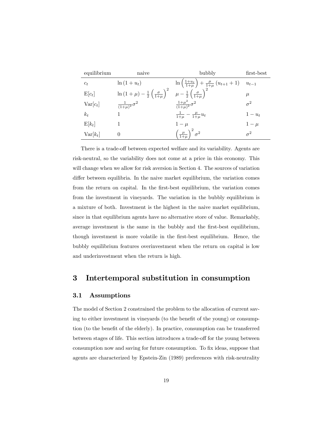| equilibrium | naive                                                                 | bubbly                                                                         | first-best |
|-------------|-----------------------------------------------------------------------|--------------------------------------------------------------------------------|------------|
| $c_t$       | $\ln(1+u_t)$                                                          | $\ln\left(\frac{1+u_t}{1+\mu}\right) + \frac{\mu}{1+\mu}(u_{t+1}+1)$ $u_{t-1}$ |            |
| $E[c_t]$    | $\ln (1 + \mu) - \frac{1}{2} \left( \frac{\sigma}{1 + \mu} \right)^2$ | $\mu - \frac{1}{2} \left( \frac{\sigma}{1+\mu} \right)^2$                      | $\mu$      |
| $Var[c_t]$  | $\frac{1}{(1+\mu)^2} \sigma^2$                                        | $\frac{1+\mu^2}{(1+\mu)^2}\sigma^2$                                            | $\sigma^2$ |
| $k_t$       |                                                                       | $\frac{1}{1+\mu} - \frac{\mu}{1+\mu} u_t$                                      | $1-u_t$    |
| $E[k_t]$    |                                                                       | $1-\mu$                                                                        | $1-\mu$    |
| $Var[k_t]$  | $\theta$                                                              | $\left(\frac{\mu}{1+\mu}\right)^2\sigma^2$                                     | $\sigma^2$ |

There is a trade-off between expected welfare and its variability. Agents are risk-neutral, so the variability does not come at a price in this economy. This will change when we allow for risk aversion in Section 4. The sources of variation differ between equilibria. In the naive market equilibrium, the variation comes from the return on capital. In the first-best equilibrium, the variation comes from the investment in vineyards. The variation in the bubbly equilibrium is a mixture of both. Investment is the highest in the naive market equilibrium, since in that equilibrium agents have no alternative store of value. Remarkably, average investment is the same in the bubbly and the first-best equilibrium, though investment is more volatile in the first-best equilibrium. Hence, the bubbly equilibrium features overinvestment when the return on capital is low and underinvestment when the return is high.

### 3 Intertemporal substitution in consumption

#### 3.1 Assumptions

The model of Section 2 constrained the problem to the allocation of current saving to either investment in vineyards (to the benefit of the young) or consumption (to the benefit of the elderly). In practice, consumption can be transferred between stages of life. This section introduces a trade-off for the young between consumption now and saving for future consumption. To fix ideas, suppose that agents are characterized by Epstein-Zin (1989) preferences with risk-neutrality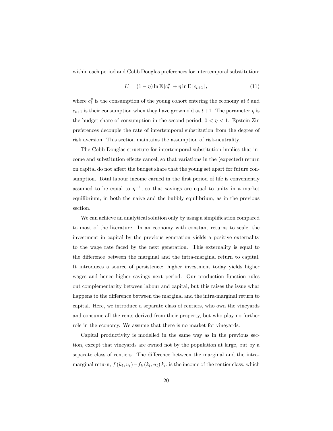within each period and Cobb Douglas preferences for intertemporal substitution:

$$
U = (1 - \eta) \ln E [c_t^y] + \eta \ln E [c_{t+1}], \qquad (11)
$$

where  $c_t^y$  is the consumption of the young cohort entering the economy at t and  $c_{t+1}$  is their consumption when they have grown old at  $t+1$ . The parameter  $\eta$  is the budget share of consumption in the second period,  $0 < \eta < 1$ . Epstein-Zin preferences decouple the rate of intertemporal substitution from the degree of risk aversion. This section maintains the assumption of risk-neutrality.

The Cobb Douglas structure for intertemporal substitution implies that income and substitution effects cancel, so that variations in the (expected) return on capital do not affect the budget share that the young set apart for future consumption. Total labour income earned in the first period of life is conveniently assumed to be equal to  $\eta^{-1}$ , so that savings are equal to unity in a market equilibrium, in both the naive and the bubbly equilibrium, as in the previous section.

We can achieve an analytical solution only by using a simplification compared to most of the literature. In an economy with constant returns to scale, the investment in capital by the previous generation yields a positive externality to the wage rate faced by the next generation. This externality is equal to the difference between the marginal and the intra-marginal return to capital. It introduces a source of persistence: higher investment today yields higher wages and hence higher savings next period. Our production function rules out complementarity between labour and capital, but this raises the issue what happens to the difference between the marginal and the intra-marginal return to capital. Here, we introduce a separate class of rentiers, who own the vineyards and consume all the rents derived from their property, but who play no further role in the economy. We assume that there is no market for vineyards.

Capital productivity is modelled in the same way as in the previous section, except that vineyards are owned not by the population at large, but by a separate class of rentiers. The difference between the marginal and the intramarginal return,  $f(k_t, u_t) - f_k(k_t, u_t) k_t$ , is the income of the rentier class, which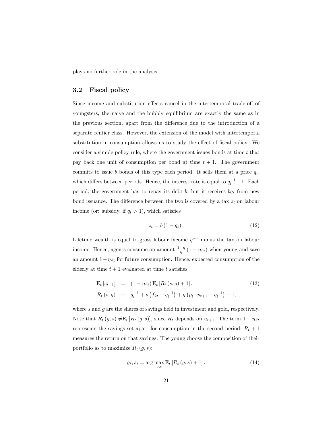plays no further role in the analysis.

#### 3.2 Fiscal policy

Since income and substitution effects cancel in the intertemporal trade-off of youngsters, the naive and the bubbly equilibrium are exactly the same as in the previous section, apart from the difference due to the introduction of a separate rentier class. However, the extension of the model with intertemporal substitution in consumption allows us to study the effect of fiscal policy. We consider a simple policy rule, where the government issues bonds at time  $t$  that pay back one unit of consumption per bond at time  $t + 1$ . The government commits to issue b bonds of this type each period. It sells them at a price  $q_t$ , which differs between periods. Hence, the interest rate is equal to  $q_t^{-1} - 1$ . Each period, the government has to repay its debt b, but it receives  $bq_t$  from new bond issuance. The difference between the two is covered by a tax  $z_t$  on labour income (or: subsidy, if  $q_t > 1$ ), which satisfies

$$
z_t = b\left(1 - q_t\right). \tag{12}
$$

Lifetime wealth is equal to gross labour income  $\eta^{-1}$  minus the tax on labour income. Hence, agents consume an amount  $\frac{1-\eta}{\eta}(1-\eta z_t)$  when young and save an amount  $1-\eta z_t$  for future consumption. Hence, expected consumption of the elderly at time  $t + 1$  evaluated at time t satisfies

$$
E_t [c_{t+1}] = (1 - \eta z_t) E_t [R_t (s, g) + 1], \qquad (13)
$$
  
\n
$$
R_t (s, g) \equiv q_t^{-1} + s \left( f_{kt} - q_t^{-1} \right) + g \left( p_t^{-1} p_{t+1} - q_t^{-1} \right) - 1,
$$

where  $s$  and  $g$  are the shares of savings held in investment and gold, respectively. Note that  $R_t(g, s) \neq E_t [R_t(g, s)]$ , since  $R_t$  depends on  $u_{t+1}$ . The term  $1 - \eta z_t$ represents the savings set apart for consumption in the second period;  $R_t + 1$ measures the return on that savings. The young choose the composition of their portfolio as to maximize  $R_t (g, s)$ :

$$
g_t, s_t = \arg \max_{g,s} \mathcal{E}_t \left[ R_t \left( g, s \right) + 1 \right]. \tag{14}
$$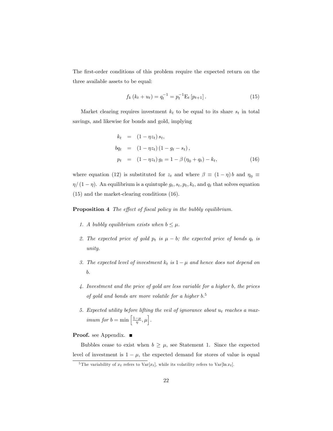The first-order conditions of this problem require the expected return on the three available assets to be equal:

$$
f_k(k_t + u_t) = q_t^{-1} = p_t^{-1} \mathcal{E}_t \left[ p_{t+1} \right]. \tag{15}
$$

Market clearing requires investment  $k_t$  to be equal to its share  $s_t$  in total savings, and likewise for bonds and gold, implying

$$
k_t = (1 - \eta z_t) s_t,
$$
  
\n
$$
b q_t = (1 - \eta z_t) (1 - g_t - s_t),
$$
  
\n
$$
p_t = (1 - \eta z_t) g_t = 1 - \beta (\eta_0 + q_t) - k_t,
$$
\n(16)

where equation (12) is substituted for  $z_t$  and where  $\beta \equiv (1 - \eta)b$  and  $\eta_0 \equiv$  $\eta/(1 - \eta)$ . An equilibrium is a quintuple  $g_t, s_t, p_t, k_t$ , and  $q_t$  that solves equation (15) and the market-clearing conditions (16).

**Proposition 4** The effect of fiscal policy in the bubbly equilibrium.

- 1. A bubbly equilibrium exists when  $b \leq \mu$ .
- 2. The expected price of gold  $p_t$  is  $\mu b$ ; the expected price of bonds  $q_t$  is unity.
- 3. The expected level of investment  $k_t$  is  $1 \mu$  and hence does not depend on b.
- 4. Investment and the price of gold are less variable for a higher b, the prices of gold and bonds are more volatile for a higher b. 5
- 5. Expected utility before lifting the veil of ignorance about  $u_t$  reaches a max*imum for*  $b = \min \left[ \frac{1-\mu}{\eta}, \mu \right]$ .

#### Proof. see Appendix. ■

Bubbles cease to exist when  $b \geq \mu$ , see Statement 1. Since the expected level of investment is  $1 - \mu$ , the expected demand for stores of value is equal

<sup>&</sup>lt;sup>5</sup>The variability of  $x_t$  refers to  $\text{Var}[x_t]$ , while its volatility refers to  $\text{Var}[\ln x_t]$ .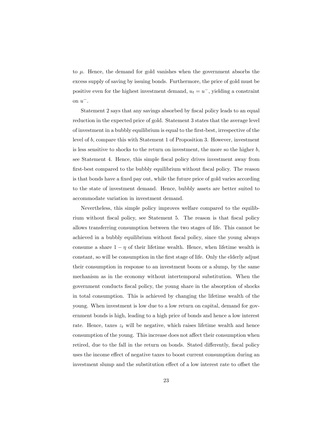to  $\mu$ . Hence, the demand for gold vanishes when the government absorbs the excess supply of saving by issuing bonds. Furthermore, the price of gold must be positive even for the highest investment demand,  $u_t = u^-$ , yielding a constraint on  $u^-$ .

Statement 2 says that any savings absorbed by fiscal policy leads to an equal reduction in the expected price of gold. Statement 3 states that the average level of investment in a bubbly equilibrium is equal to the Örst-best, irrespective of the level of b, compare this with Statement 1 of Proposition 3. However, investment is less sensitive to shocks to the return on investment, the more so the higher  $b$ , see Statement 4. Hence, this simple Öscal policy drives investment away from first-best compared to the bubbly equilibrium without fiscal policy. The reason is that bonds have a fixed pay out, while the future price of gold varies according to the state of investment demand. Hence, bubbly assets are better suited to accommodate variation in investment demand.

Nevertheless, this simple policy improves welfare compared to the equilibrium without fiscal policy, see Statement 5. The reason is that fiscal policy allows transferring consumption between the two stages of life. This cannot be achieved in a bubbly equilibrium without Öscal policy, since the young always consume a share  $1 - \eta$  of their lifetime wealth. Hence, when lifetime wealth is constant, so will be consumption in the first stage of life. Only the elderly adjust their consumption in response to an investment boom or a slump, by the same mechanism as in the economy without intertemporal substitution. When the government conducts Öscal policy, the young share in the absorption of shocks in total consumption. This is achieved by changing the lifetime wealth of the young. When investment is low due to a low return on capital, demand for government bonds is high, leading to a high price of bonds and hence a low interest rate. Hence, taxes  $z_t$  will be negative, which raises lifetime wealth and hence consumption of the young. This increase does not affect their consumption when retired, due to the fall in the return on bonds. Stated differently, fiscal policy uses the income effect of negative taxes to boost current consumption during an investment slump and the substitution effect of a low interest rate to offset the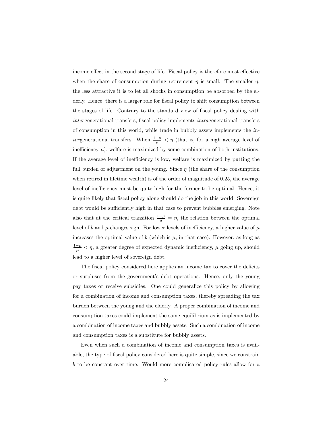income effect in the second stage of life. Fiscal policy is therefore most effective when the share of consumption during retirement  $\eta$  is small. The smaller  $\eta$ , the less attractive it is to let all shocks in consumption be absorbed by the elderly. Hence, there is a larger role for fiscal policy to shift consumption between the stages of life. Contrary to the standard view of fiscal policy dealing with intergenerational transfers, fiscal policy implements *intragenerational* transfers of consumption in this world, while trade in bubbly assets implements the intergenerational transfers. When  $\frac{1-\mu}{\mu} < \eta$  (that is, for a high average level of inefficiency  $\mu$ ), welfare is maximized by some combination of both institutions. If the average level of inefficiency is low, welfare is maximized by putting the full burden of adjustment on the young. Since  $\eta$  (the share of the consumption when retired in lifetime wealth) is of the order of magnitude of 0.25, the average level of inefficiency must be quite high for the former to be optimal. Hence, it is quite likely that Öscal policy alone should do the job in this world. Sovereign debt would be sufficiently high in that case to prevent bubbles emerging. Note also that at the critical transition  $\frac{1-\mu}{\mu} = \eta$ , the relation between the optimal level of b and  $\mu$  changes sign. For lower levels of inefficiency, a higher value of  $\mu$ increases the optimal value of b (which is  $\mu$ , in that case). However, as long as  $\frac{1-\mu}{\mu} < \eta$ , a greater degree of expected dynamic inefficiency,  $\mu$  going up, should lead to a higher level of sovereign debt.

The fiscal policy considered here applies an income tax to cover the deficits or surpluses from the governmentís debt operations. Hence, only the young pay taxes or receive subsidies. One could generalize this policy by allowing for a combination of income and consumption taxes, thereby spreading the tax burden between the young and the elderly. A proper combination of income and consumption taxes could implement the same equilibrium as is implemented by a combination of income taxes and bubbly assets. Such a combination of income and consumption taxes is a substitute for bubbly assets.

Even when such a combination of income and consumption taxes is available, the type of fiscal policy considered here is quite simple, since we constrain b to be constant over time. Would more complicated policy rules allow for a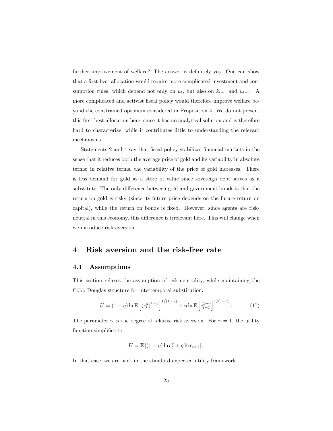further improvement of welfare? The answer is definitely yes. One can show that a first-best allocation would require more complicated investment and consumption rules, which depend not only on  $u_t$ , but also on  $k_{t-1}$  and  $u_{t-1}$ . A more complicated and activist fiscal policy would therefore improve welfare beyond the constrained optimum considered in Proposition 4. We do not present this Örst-best allocation here, since it has no analytical solution and is therefore hard to characterize, while it contributes little to understanding the relevant mechanisms.

Statements 2 and 4 say that fiscal policy stabilizes financial markets in the sense that it reduces both the average price of gold and its variability in absolute terms; in relative terms, the variability of the price of gold increases. There is less demand for gold as a store of value since sovereign debt serves as a substitute. The only difference between gold and government bonds is that the return on gold is risky (since its future price depends on the future return on capital), while the return on bonds is fixed. However, since agents are riskneutral in this economy, this difference is irrelevant here. This will change when we introduce risk aversion.

## 4 Risk aversion and the risk-free rate

#### 4.1 Assumptions

This section relaxes the assumption of risk-neutrality, while maintaining the Cobb Douglas structure for intertemporal substitution:

$$
U = (1 - \eta) \ln \mathcal{E} \left[ (c_t^y)^{1 - \gamma} \right]^{1/(1 - \gamma)} + \eta \ln \mathcal{E} \left[ c_{t+1}^{1 - \gamma} \right]^{1/(1 - \gamma)}.
$$
 (17)

The parameter  $\gamma$  is the degree of relative risk aversion. For  $\gamma = 1$ , the utility function simplifies to

$$
U = \mathrm{E}\left[ (1-\eta) \ln c_t^y + \eta \ln c_{t+1} \right].
$$

In that case, we are back in the standard expected utility framework.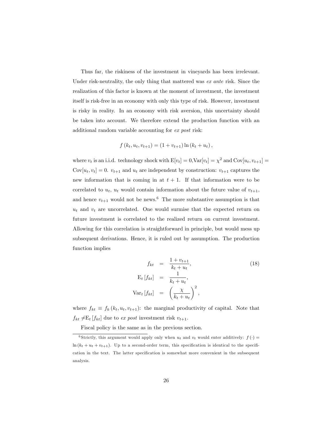Thus far, the riskiness of the investment in vineyards has been irrelevant. Under risk-neutrality, the only thing that mattered was ex ante risk. Since the realization of this factor is known at the moment of investment, the investment itself is risk-free in an economy with only this type of risk. However, investment is risky in reality. In an economy with risk aversion, this uncertainty should be taken into account. We therefore extend the production function with an additional random variable accounting for ex post risk:

$$
f(k_t, u_t, v_{t+1}) = (1 + v_{t+1}) \ln (k_t + u_t),
$$

where  $v_t$  is an i.i.d. technology shock with  $E[v_t] = 0, \text{Var}[v_t] = \chi^2$  and  $\text{Cov}[u_t, v_{t+1}] =$  $Cov[u_t, v_t] = 0$ .  $v_{t+1}$  and  $u_t$  are independent by construction:  $v_{t+1}$  captures the new information that is coming in at  $t + 1$ . If that information were to be correlated to  $u_t$ ,  $u_t$  would contain information about the future value of  $v_{t+1}$ , and hence  $v_{t+1}$  would not be news.<sup>6</sup> The more substantive assumption is that  $u_t$  and  $v_t$  are uncorrelated. One would surmise that the expected return on future investment is correlated to the realized return on current investment. Allowing for this correlation is straightforward in principle, but would mess up subsequent derivations. Hence, it is ruled out by assumption. The production function implies

$$
f_{kt} = \frac{1 + v_{t+1}}{k_t + u_t},
$$
  
\n
$$
E_t[f_{kt}] = \frac{1}{k_t + u_t},
$$
  
\n
$$
Var_t[f_{kt}] = \left(\frac{\chi}{k_t + u_t}\right)^2,
$$
\n(18)

where  $f_{kt} \equiv f_k (k_t, u_t, v_{t+1})$ : the marginal productivity of capital. Note that  $f_{kt} \neq E_t [f_{kt}]$  due to ex post investment risk  $v_{t+1}$ .

Fiscal policy is the same as in the previous section.

<sup>&</sup>lt;sup>6</sup> Strictly, this argument would apply only when  $u_t$  and  $v_t$  would enter additively:  $f(\cdot)$  =  $\ln (k_t + u_t + v_{t+1})$ . Up to a second-order term, this specification is identical to the specification in the text. The latter specification is somewhat more convenient in the subsequent analysis.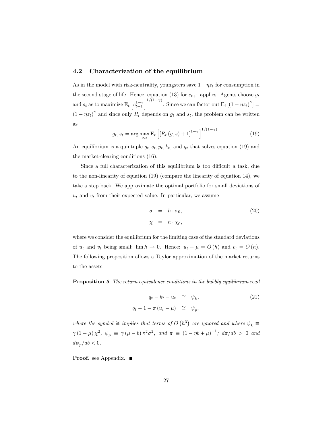#### 4.2 Characterization of the equilibrium

As in the model with risk-neutrality, youngsters save  $1-\eta z_t$  for consumption in the second stage of life. Hence, equation (13) for  $c_{t+1}$  applies. Agents choose  $g_t$ and  $s_t$  as to maximize  $E_t\left[c_{t+1}^{1-\gamma}\right]^{1/(1-\gamma)}$ . Since we can factor out  $E_t\left[(1-\eta z_t)^{\gamma}\right] =$  $(1 - \eta z_t)^{\gamma}$  and since only  $R_t$  depends on  $g_t$  and  $s_t$ , the problem can be written as

$$
g_t, s_t = \arg \max_{g, s} \mathbb{E}_t \left[ \left[ R_t(g, s) + 1 \right]^{1 - \gamma} \right]^{1/(1 - \gamma)}.
$$
 (19)

An equilibrium is a quintuple  $g_t$ ,  $s_t$ ,  $p_t$ ,  $k_t$ , and  $q_t$  that solves equation (19) and the market-clearing conditions (16).

Since a full characterization of this equilibrium is too difficult a task, due to the non-linearity of equation (19) (compare the linearity of equation 14), we take a step back. We approximate the optimal portfolio for small deviations of  $u_t$  and  $v_t$  from their expected value. In particular, we assume

$$
\sigma = h \cdot \sigma_0, \tag{20}
$$
\n
$$
\chi = h \cdot \chi_0,
$$

where we consider the equilibrium for the limiting case of the standard deviations of  $u_t$  and  $v_t$  being small:  $\lim h \to 0$ . Hence:  $u_t - \mu = O(h)$  and  $v_t = O(h)$ . The following proposition allows a Taylor approximation of the market returns to the assets.

Proposition 5 The return equivalence conditions in the bubbly equilibrium read

$$
q_t - k_t - u_t \quad \cong \quad \psi_k,
$$
  

$$
q_t - 1 - \pi (u_t - \mu) \quad \cong \quad \psi_p,
$$
 (21)

where the symbol  $\cong$  implies that terms of  $O(n^3)$  are ignored and where  $\psi_k \equiv$  $\gamma(1-\mu)\chi^2$ ,  $\psi_p \equiv \gamma(\mu - b)\pi^2\sigma^2$ , and  $\pi \equiv (1 - \eta b + \mu)^{-1}$ ;  $d\pi/db > 0$  and  $d\psi_p/db < 0.$ 

**Proof.** see Appendix. ■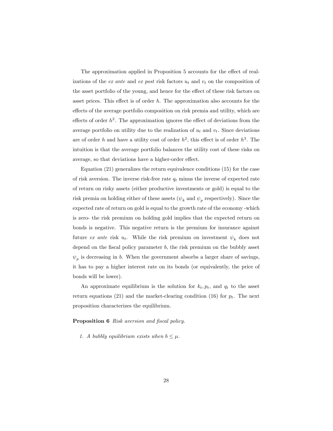The approximation applied in Proposition 5 accounts for the effect of realizations of the ex ante and ex post risk factors  $u_t$  and  $v_t$  on the composition of the asset portfolio of the young, and hence for the effect of these risk factors on asset prices. This effect is of order  $h$ . The approximation also accounts for the effects of the average portfolio composition on risk premia and utility, which are effects of order  $h^2$ . The approximation ignores the effect of deviations from the average portfolio on utility due to the realization of  $u_t$  and  $v_t$ . Since deviations are of order h and have a utility cost of order  $h^2$ , this effect is of order  $h^3$ . The intuition is that the average portfolio balances the utility cost of these risks on average, so that deviations have a higher-order effect.

Equation (21) generalizes the return equivalence conditions (15) for the case of risk aversion. The inverse risk-free rate  $q_t$  minus the inverse of expected rate of return on risky assets (either productive investments or gold) is equal to the risk premia on holding either of these assets  $(\psi_k \text{ and } \psi_p \text{ respectively})$ . Since the expected rate of return on gold is equal to the growth rate of the economy -which is zero- the risk premium on holding gold implies that the expected return on bonds is negative. This negative return is the premium for insurance against future ex ante risk  $u_t$ . While the risk premium on investment  $\psi_k$  does not depend on the fiscal policy parameter  $b$ , the risk premium on the bubbly asset  $\psi_p$  is decreasing in b. When the government absorbs a larger share of savings, it has to pay a higher interest rate on its bonds (or equivalently, the price of bonds will be lower).

An approximate equilibrium is the solution for  $k_t, p_t$ , and  $q_t$  to the asset return equations (21) and the market-clearing condition (16) for  $p_t$ . The next proposition characterizes the equilibrium.

#### **Proposition 6** Risk aversion and fiscal policy.

1. A bubbly equilibrium exists when  $b \leq \mu$ .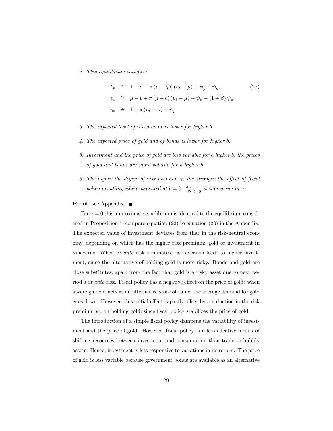2. This equilibrium satisfies:

$$
k_t \cong 1 - \mu - \pi (\mu - \eta b) (u_t - \mu) + \psi_p - \psi_k,
$$
  
\n
$$
p_t \cong \mu - b + \pi (\mu - b) (u_t - \mu) + \psi_k - (1 + \beta) \psi_p,
$$
  
\n
$$
q_t \cong 1 + \pi (u_t - \mu) + \psi_p.
$$
\n
$$
(22)
$$

- 3. The expected level of investment is lower for higher b.
- 4. The expected price of gold and of bonds is lower for higher b.
- 5. Investment and the price of gold are less variable for a higher b; the prices of gold and bonds are more volatile for a higher b.
- 6. The higher the degree of risk aversion  $\gamma$ , the stronger the effect of fiscal policy on utility when measured at  $b = 0$ :  $\frac{dU}{db}|_{b=0}$  is increasing in  $\gamma$ .

#### Proof. see Appendix. ■

For  $\gamma = 0$  this approximate equilibrium is identical to the equilibrium considered in Proposition 4, compare equation (22) to equation (23) in the Appendix. The expected value of investment deviates from that in the risk-neutral economy, depending on which has the higher risk premium: gold or investment in vineyards. When ex ante risk dominates, risk aversion leads to higher investment, since the alternative of holding gold is more risky. Bonds and gold are close substitutes, apart from the fact that gold is a risky asset due to next period's ex ante risk. Fiscal policy has a negative effect on the price of gold: when sovereign debt acts as an alternative store of value, the average demand for gold goes down. However, this initial effect is partly offset by a reduction in the risk premium  $\psi_p$  on holding gold, since fiscal policy stabilizes the price of gold.

The introduction of a simple fiscal policy dampens the variability of investment and the price of gold. However, fiscal policy is a less effective means of shifting resources between investment and consumption than trade in bubbly assets. Hence, investment is less responsive to variations in its return. The price of gold is less variable because government bonds are available as an alternative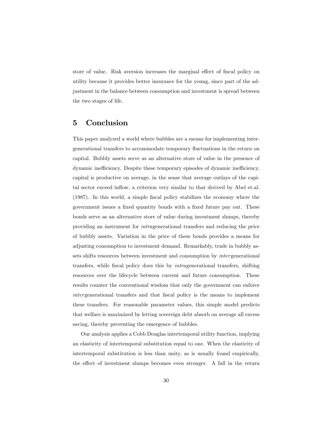store of value. Risk aversion increases the marginal effect of fiscal policy on utility because it provides better insurance for the young, since part of the adjustment in the balance between consumption and investment is spread between the two stages of life.

# 5 Conclusion

This paper analyzed a world where bubbles are a means for implementing intergenerational transfers to accommodate temporary áuctuations in the return on capital. Bubbly assets serve as an alternative store of value in the presence of dynamic inefficiency. Despite these temporary episodes of dynamic inefficiency, capital is productive on average, in the sense that average outlays of the capital sector exceed inflow, a criterion very similar to that derived by Abel et.al. (1987). In this world, a simple fiscal policy stabilizes the economy where the government issues a fixed quantity bonds with a fixed future pay out. These bonds serve as an alternative store of value during investment slumps, thereby providing an instrument for intragenerational transfers and reducing the price of bubbly assets. Variation in the price of these bonds provides a means for adjusting consumption to investment demand. Remarkably, trade in bubbly assets shifts resources between investment and consumption by intergenerational transfers, while fiscal policy does this by *intragenerational* transfers, shifting resources over the lifecycle between current and future consumption. These results counter the conventional wisdom that only the government can enforce intergenerational transfers and that fiscal policy is the means to implement these transfers. For reasonable parameter values, this simple model predicts that welfare is maximized by letting sovereign debt absorb on average all excess saving, thereby preventing the emergence of bubbles.

Our analysis applies a Cobb Douglas intertemporal utility function, implying an elasticity of intertemporal substitution equal to one. When the elasticity of intertemporal substitution is less than unity, as is usually found empirically, the effect of investment slumps becomes even stronger. A fall in the return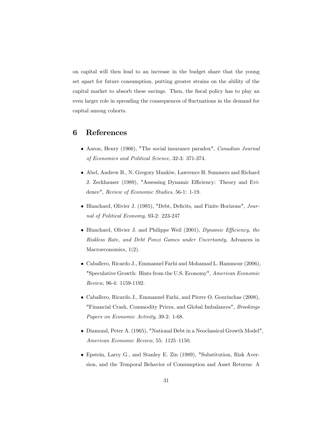on capital will then lead to an increase in the budget share that the young set apart for future consumption, putting greater strains on the ability of the capital market to absorb these savings. Then, the fiscal policy has to play an even larger role in spreading the consequences of fluctuations in the demand for capital among cohorts.

# 6 References

- Aaron, Henry (1966), "The social insurance paradox", Canadian Journal of Economics and Political Science, 32-3: 371-374.
- Abel, Andrew B., N. Gregory Mankiw, Lawrence H. Summers and Richard J. Zeckhauser (1989), "Assessing Dynamic Efficiency: Theory and Evidence", Review of Economic Studies, 56-1: 1-19.
- Blanchard, Olivier J. (1985), "Debt, Deficits, and Finite Horizons", Journal of Political Economy, 93-2: 223-247
- $\bullet$  Blanchard, Olivier J. and Philippe Weil (2001), Dynamic Efficiency, the Riskless Rate, and Debt Ponzi Games under Uncertainty, Advances in Macroeconomics,  $1(2)$ .
- Caballero, Ricardo J., Emmanuel Farhi and Mohamad L. Hammour (2006), "Speculative Growth: Hints from the U.S. Economy", American Economic Review, 96-4: 1159-1192.
- Caballero, Ricardo J., Emmanuel Farhi, and Pierre O. Gourinchas (2008), "Financial Crash, Commodity Prices, and Global Imbalances", Brookings Papers on Economic Activity, 39-2: 1-68.
- Diamond, Peter A. (1965), "National Debt in a Neoclassical Growth Model", American Economic Review, 55: 1125-1150.
- Epstein, Larry G., and Stanley E. Zin (1989), "Substitution, Risk Aversion, and the Temporal Behavior of Consumption and Asset Returns: A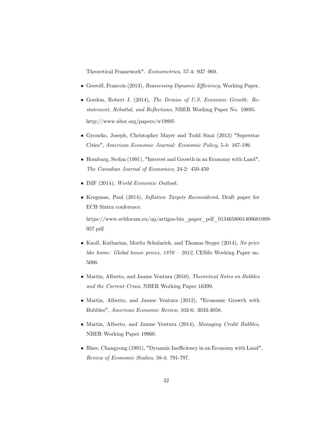Theoretical Framework". Econometrica, 57-4: 937-969.

- $\bullet$  Geerolf, Francois (2013), Reassessing Dynamic Efficiency, Working Paper.
- Gordon, Robert J. (2014), The Demise of U.S. Economic Growth: Restatement, Rebuttal, and Reflections, NBER Working Paper No. 19895. http://www.nber.org/papers/w19895
- Gyourko, Joseph, Christopher Mayer and Todd Sinai (2013) "Superstar Cities", American Economic Journal: Economic Policy, 5-4: 167-199.
- $\bullet$  Homburg, Stefan (1991), "Interest and Growth in an Economy with Land", The Canadian Journal of Economics, 24-2: 450-459
- IMF (2014), World Economic Outlook.
- Krugman, Paul (2014), *Inflation Targets Reconsidered*, Draft paper for ECB Sintra conference.

https://www.ecbforum.eu/up/artigos-bin\_paper\_pdf\_0134658001400681089- 957.pdf

- Knoll, Katharina, Moritz Schularick, and Thomas Steger (2014), No price like home: Global house prices,  $1870 - 2012$ , CESifo Working Paper no. 5006.
- Martin, Alberto, and Jaume Ventura (2010), Theoretical Notes on Bubbles and the Current Crisis, NBER Working Paper 16399.
- Martin, Alberto, and Jaume Ventura (2012), "Economic Growth with Bubbles", American Economic Review, 102-6: 3033-3058.
- Martin, Alberto, and Jaume Ventura (2014), Managing Credit Bubbles, NBER Working Paper 19960.
- $\bullet$  Rhee, Changyong (1991), "Dynamic Inefficiency in an Economy with Land", Review of Economic Studies, 58-4: 791-797.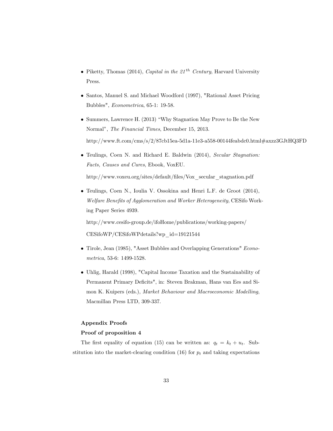- Piketty, Thomas (2014), Capital in the 21<sup>th</sup> Century, Harvard University Press.
- Santos, Manuel S. and Michael Woodford (1997), "Rational Asset Pricing Bubbles", Econometrica, 65-1: 19-58.
- Summers, Lawrence H. (2013) "Why Stagnation May Prove to Be the New Normal", The Financial Times, December 15, 2013. http://www.ft.com/cms/s/2/87cb15ea-5d1a-11e3-a558-00144feabdc0.html#axzz3GJtHQ3FD
- Teulings, Coen N. and Richard E. Baldwin (2014), Secular Stagnation: Facts, Causes and Cures, Ebook, VoxEU.

http://www.voxeu.org/sites/default/files/Vox\_secular\_stagnation.pdf

 Teulings, Coen N., Ioulia V. Ossokina and Henri L.F. de Groot (2014), Welfare Benefits of Agglomeration and Worker Heterogeneity, CESifo Working Paper Series 4939.

http://www.cesifo-group.de/ifoHome/publications/working-papers/ CESifoWP/CESifoWPdetails?wp\_id=19121544

- Tirole, Jean (1985), "Asset Bubbles and Overlapping Generations" Econometrica, 53-6: 1499-1528.
- Uhlig, Harald (1998), "Capital Income Taxation and the Sustainability of Permanent Primary Deficits", in: Steven Brakman, Hans van Ees and Simon K. Kuipers (eds.), Market Behaviour and Macroeconomic Modelling, Macmillan Press LTD, 309-337.

#### Appendix Proofs

#### Proof of proposition 4

The first equality of equation (15) can be written as:  $q_t = k_t + u_t$ . Substitution into the market-clearing condition (16) for  $p_t$  and taking expectations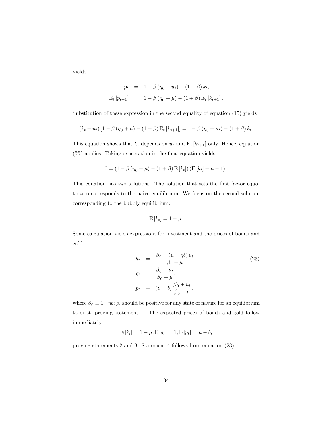yields

$$
p_t = 1 - \beta (\eta_0 + u_t) - (1 + \beta) k_t,
$$
  
\n
$$
E_t [p_{t+1}] = 1 - \beta (\eta_0 + \mu) - (1 + \beta) E_t [k_{t+1}].
$$

Substitution of these expression in the second equality of equation (15) yields

$$
(k_t + u_t) [1 - \beta (\eta_0 + \mu) - (1 + \beta) E_t [k_{t+1}]] = 1 - \beta (\eta_0 + u_t) - (1 + \beta) k_t.
$$

This equation shows that  $k_t$  depends on  $u_t$  and  $E_t$  [ $k_{t+1}$ ] only. Hence, equation (??) applies. Taking expectation in the Önal equation yields:

$$
0 = (1 - \beta (\eta_0 + \mu) - (1 + \beta) E[k_t]) (E[k_t] + \mu - 1).
$$

This equation has two solutions. The solution that sets the first factor equal to zero corresponds to the naive equilibrium. We focus on the second solution corresponding to the bubbly equilibrium:

$$
\mathrm{E}\left[k_{t}\right]=1-\mu.
$$

Some calculation yields expressions for investment and the prices of bonds and gold:

$$
k_t = \frac{\beta_0 - (\mu - \eta b) u_t}{\beta_0 + \mu},
$$
  
\n
$$
q_t = \frac{\beta_0 + u_t}{\beta_0 + \mu},
$$
  
\n
$$
p_t = (\mu - b) \frac{\beta_0 + u_t}{\beta_0 + \mu},
$$
\n(23)

where  $\beta_0 \equiv 1-\eta b;$   $p_t$  should be positive for any state of nature for an equilibrium to exist, proving statement 1. The expected prices of bonds and gold follow immediately:

$$
E[k_t] = 1 - \mu, E[q_t] = 1, E[p_t] = \mu - b,
$$

proving statements 2 and 3. Statement 4 follows from equation (23).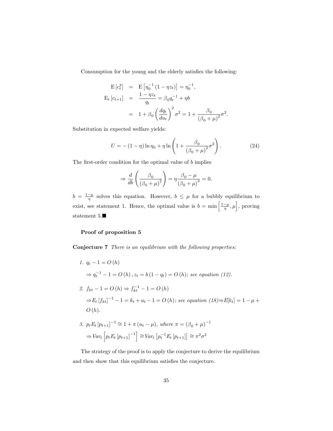Consumption for the young and the elderly satisfies the following:

$$
\begin{aligned}\n\mathbf{E}\left[c_t^y\right] &= \mathbf{E}\left[\eta_0^{-1}\left(1-\eta z_t\right)\right] = \eta_0^{-1}, \\
\mathbf{E}_t\left[c_{t+1}\right] &= \frac{1-\eta z_t}{q_t} = \beta_0 q_t^{-1} + \eta b \\
&= 1 + \beta_0 \left(\frac{dq_t}{du_t}\right)^2 \sigma^2 = 1 + \frac{\beta_0}{\left(\beta_0 + \mu\right)^2} \sigma^2\n\end{aligned}
$$

Substitution in expected welfare yields:

$$
U = -(1 - \eta) \ln \eta_0 + \eta \ln \left( 1 + \frac{\beta_0}{(\beta_0 + \mu)^2} \sigma^2 \right).
$$
 (24)

:

The first-order condition for the optimal value of  $b$  implies

$$
\Rightarrow \frac{d}{db} \left( \frac{\beta_0}{\left(\beta_0 + \mu\right)^2} \right) = \eta \frac{\beta_0 - \mu}{\left(\beta_0 + \mu\right)^3} = 0.
$$

 $b = \frac{1-\mu}{\eta}$  solves this equation. However,  $b \leq \mu$  for a bubbly equilibrium to exist, see statement 1. Hence, the optimal value is  $b = \min\left[\frac{1-\mu}{\eta}, \mu\right]$ , proving statement 5. $\blacksquare$ 

#### Proof of proposition 5

Conjecture 7 There is an equilibrium with the following properties:

1.  $q_t - 1 = O(h)$  $\Rightarrow$   $q_t^{-1} - 1 = O(h)$ ,  $z_t = b(1 - q_t) = O(h)$ ; see equation (12). 2.  $f_{kt} - 1 = O(h) \Rightarrow f_{kt}^{-1} - 1 = O(h)$  $\Rightarrow E_t [f_{kt}]^{-1} - 1 = k_t + u_t - 1 = O(h)$ ; see equation  $(18) \Rightarrow E[k_t] = 1 - \mu +$  $O(h)$ . 3.  $p_t E_t [p_{t+1}]^{-1} \cong 1 + \pi (u_t - \mu)$ , where  $\pi = (\beta_0 + \mu)^{-1}$ 

$$
\Rightarrow Var_t \left[ p_t E_t \left[ p_{t+1} \right]^{-1} \right] \cong Var_t \left[ p_t^{-1} E_t \left[ p_{t+1} \right] \right] \cong \pi^2 \sigma^2
$$

The strategy of the proof is to apply the conjecture to derive the equilibrium and then show that this equilibrium satisfies the conjecture.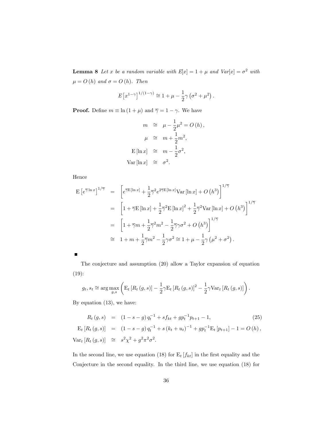**Lemma 8** Let x be a random variable with  $E[x] = 1 + \mu$  and  $Var[x] = \sigma^2$  with  $\mu = O(h)$  and  $\sigma = O(h)$ . Then

$$
E[x^{1-\gamma}]^{1/(1-\gamma)} \approx 1 + \mu - \frac{1}{2}\gamma (\sigma^2 + \mu^2).
$$

**Proof.** Define  $m \equiv \ln(1 + \mu)$  and  $\overline{\gamma} = 1 - \gamma$ . We have

$$
m \cong \mu - \frac{1}{2}\mu^{2} = O(h),
$$
  

$$
\mu \cong m + \frac{1}{2}m^{2},
$$
  

$$
E[\ln x] \cong m - \frac{1}{2}\sigma^{2},
$$
  

$$
Var[\ln x] \cong \sigma^{2}.
$$

Hence

$$
\begin{split} \mathbf{E} \left[ e^{\overline{\gamma} \ln x} \right]^{1/\overline{\gamma}} &= \left[ e^{\overline{\gamma} \mathbf{E} [\ln x]} + \frac{1}{2} \overline{\gamma}^2 e^{2\overline{\gamma} \mathbf{E} [\ln x]} \text{Var} \left[ \ln x \right] + O \left( h^3 \right) \right]^{1/\overline{\gamma}} \\ &= \left[ 1 + \overline{\gamma} \mathbf{E} \left[ \ln x \right] + \frac{1}{2} \overline{\gamma}^2 \mathbf{E} \left[ \ln x \right]^2 + \frac{1}{2} \overline{\gamma}^2 \text{Var} \left[ \ln x \right] + O \left( h^3 \right) \right]^{1/\overline{\gamma}} \\ &= \left[ 1 + \overline{\gamma} m + \frac{1}{2} \overline{\gamma}^2 m^2 - \frac{1}{2} \overline{\gamma} \gamma \sigma^2 + O \left( h^3 \right) \right]^{1/\overline{\gamma}} \\ &\cong 1 + m + \frac{1}{2} \overline{\gamma} m^2 - \frac{1}{2} \gamma \sigma^2 \cong 1 + \mu - \frac{1}{2} \gamma \left( \mu^2 + \sigma^2 \right). \end{split}
$$

The conjecture and assumption (20) allow a Taylor expansion of equation (19):

$$
g_t, s_t \cong \arg \max_{g,s} \left( \mathbb{E}_t \left[ R_t(g,s) \right] - \frac{1}{2} \gamma \mathbb{E}_t \left[ R_t(g,s) \right]^2 - \frac{1}{2} \gamma \text{Var}_t \left[ R_t(g,s) \right] \right).
$$

By equation (13), we have:

$$
R_t(g, s) = (1 - s - g) q_t^{-1} + s f_{kt} + g p_t^{-1} p_{t+1} - 1,
$$
(25)  
\n
$$
E_t [R_t(g, s)] = (1 - s - g) q_t^{-1} + s (k_t + u_t)^{-1} + g p_t^{-1} E_t [p_{t+1}] - 1 = O(h),
$$
  
\n
$$
Var_t [R_t(g, s)] \cong s^2 \chi^2 + g^2 \pi^2 \sigma^2.
$$

In the second line, we use equation (18) for  $E_t[f_{kt}]$  in the first equality and the Conjecture in the second equality. In the third line, we use equation (18) for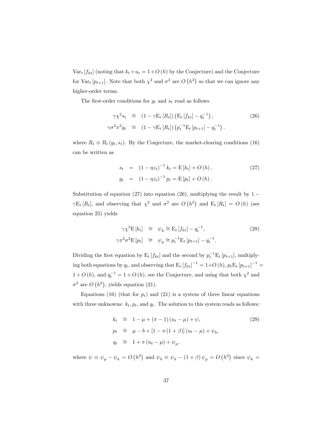$Var_t[f_{kt}]$  (noting that  $k_t+u_t = 1+O(h)$  by the Conjecture) and the Conjecture for Var<sub>t</sub>  $[p_{t+1}]$ . Note that both  $\chi^2$  and  $\sigma^2$  are  $O(n^2)$  so that we can ignore any higher-order terms.

The first-order conditions for  $g_t$  and  $s_t$  read as follows

$$
\gamma \chi^2 s_t \cong (1 - \gamma E_t [R_t]) (E_t [f_{kt}] - q_t^{-1}),
$$
\n
$$
\gamma \sigma^2 \pi^2 g_t \cong (1 - \gamma E_t [R_t]) (p_t^{-1} E_t [p_{t+1}] - q_t^{-1}).
$$
\n(26)

where  $R_t \equiv R_t (g_t, s_t)$ . By the Conjecture, the market-clearing conditions (16) can be written as

$$
s_{t} = (1 - \eta z_{t})^{-1} k_{t} = \mathbb{E}[k_{t}] + O(h),
$$
  
\n
$$
g_{t} = (1 - \eta z_{t})^{-1} p_{t} = \mathbb{E}[p_{t}] + O(h).
$$
\n(27)

Substitution of equation (27) into equation (26), multiplying the result by  $1 \gamma \mathbb{E}_t [R_t]$ , and observing that  $\chi^2$  and  $\sigma^2$  are  $O(h^2)$  and  $\mathbb{E}_t [R_t] = O(h)$  (see equation 25) yields

$$
\gamma \chi^2 \mathbf{E} \left[ k_t \right] \quad \cong \quad \psi_k \cong \mathbf{E}_t \left[ f_{kt} \right] - q_t^{-1},
$$
\n
$$
\gamma \pi^2 \sigma^2 \mathbf{E} \left[ p_t \right] \quad \cong \quad \psi_p \cong p_t^{-1} \mathbf{E}_t \left[ p_{t+1} \right] - q_t^{-1}.
$$
\n(28)

Dividing the first equation by  $E_t[f_{kt}]$  and the second by  $p_t^{-1}E_t[p_{t+1}]$ , multiplying both equations by  $q_t$ , and observing that  $\mathbb{E}_t [f_{kt}]^{-1} = 1 + O(h), p_t \mathbb{E}_t [p_{t+1}]^{-1} =$  $1+O(h)$ , and  $q_t^{-1} = 1+O(h)$ , see the Conjecture, and using that both  $\chi^2$  and  $\sigma^2$  are  $O(h^2)$ , yields equation (21).

Equations (16) (that for  $p_t$ ) and (21) is a system of three linear equations with three unknowns:  $k_t$ ,  $p_t$ , and  $q_t$ . The solution to this system reads as follows:

$$
k_t \cong 1 - \mu + (\pi - 1) (u_t - \mu) + \psi,
$$
  
\n
$$
p_t \cong \mu - b + [1 - \pi (1 + \beta)] (u_t - \mu) + \psi_b,
$$
  
\n
$$
q_t \cong 1 + \pi (u_t - \mu) + \psi_p,
$$
\n(29)

where  $\psi \equiv \psi_p - \psi_k = O(h^2)$  and  $\psi_b \equiv \psi_k - (1 + \beta)\psi_p = O(h^2)$  since  $\psi_k =$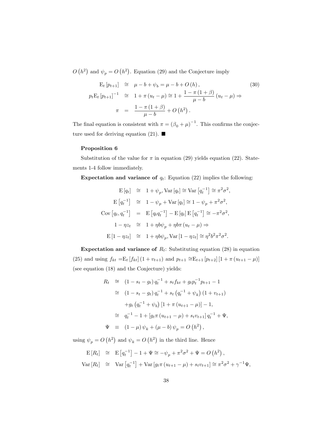$O(n^2)$  and  $\psi_p = O(n^2)$ . Equation (29) and the Conjecture imply

$$
E_t[p_{t+1}] \cong \mu - b + \psi_b = \mu - b + O(h),
$$
\n(30)  
\n
$$
p_t E_t[p_{t+1}]^{-1} \cong 1 + \pi (u_t - \mu) \cong 1 + \frac{1 - \pi (1 + \beta)}{\mu - b} (u_t - \mu) \Rightarrow
$$
\n
$$
\pi = \frac{1 - \pi (1 + \beta)}{\mu - b} + O(h^2).
$$

The final equation is consistent with  $\pi = (\beta_0 + \mu)^{-1}$ . This confirms the conjecture used for deriving equation (21).  $\blacksquare$ 

#### Proposition 6

Substitution of the value for  $\pi$  in equation (29) yields equation (22). Statements 1-4 follow immediately.

**Expectation and variance of**  $q_t$ : Equation (22) implies the following:

$$
\mathbf{E}[q_t] \cong 1 + \psi_p, \text{Var}[q_t] \cong \text{Var}\left[q_t^{-1}\right] \cong \pi^2 \sigma^2,
$$
  
\n
$$
\mathbf{E}[q_t^{-1}] \cong 1 - \psi_p + \text{Var}[q_t] \cong 1 - \psi_p + \pi^2 \sigma^2,
$$
  
\n
$$
\text{Cov}\left[q_t, q_t^{-1}\right] = \mathbf{E}\left[q_t q_t^{-1}\right] - \mathbf{E}[q_t] \mathbf{E}\left[q_t^{-1}\right] \cong -\pi^2 \sigma^2,
$$
  
\n
$$
1 - \eta z_t \cong 1 + \eta b \psi_p + \eta b \pi \left(u_t - \mu\right) \Rightarrow
$$
  
\n
$$
\mathbf{E}\left[1 - \eta z_t\right] \cong 1 + \eta b \psi_p, \text{Var}\left[1 - \eta z_t\right] \cong \eta^2 b^2 \pi^2 \sigma^2.
$$

Expectation and variance of  $R_t$ : Substituting equation (28) in equation (25) and using  $f_{kt} = E_t [f_{kt}] (1 + v_{t+1})$  and  $p_{t+1} \approx E_{t+1} [p_{t+2}] [1 + \pi (u_{t+1} - \mu)]$ (see equation (18) and the Conjecture) yields:

$$
R_t \cong (1 - s_t - g_t) q_t^{-1} + s_t f_{kt} + g_t p_t^{-1} p_{t+1} - 1
$$
  
\n
$$
\cong (1 - s_t - g_t) q_t^{-1} + s_t (q_t^{-1} + \psi_k) (1 + v_{t+1})
$$
  
\n
$$
+ g_t (q_t^{-1} + \psi_b) [1 + \pi (u_{t+1} - \mu)] - 1,
$$
  
\n
$$
\cong q_t^{-1} - 1 + [g_t \pi (u_{t+1} - \mu) + s_t v_{t+1}] q_t^{-1} + \Psi,
$$
  
\n
$$
\Psi \equiv (1 - \mu) \psi_k + (\mu - b) \psi_p = O (h^2),
$$

using  $\psi_p = O\left(h^2\right)$  and  $\psi_k = O\left(h^2\right)$  in the third line. Hence

$$
E[R_t] \cong E[q_t^{-1}] - 1 + \Psi \cong -\psi_p + \pi^2 \sigma^2 + \Psi = O(h^2),
$$
  
Var[R\_t] 
$$
\cong \text{Var}[q_t^{-1}] + \text{Var}[g_t \pi (u_{t+1} - \mu) + s_t v_{t+1}] \cong \pi^2 \sigma^2 + \gamma^{-1} \Psi,
$$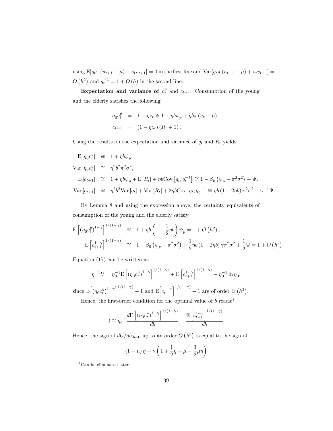using  $\mathbb{E}[g_t \pi(u_{t+1} - \mu) + s_t v_{t+1}] = 0$  in the first line and  $\text{Var}[g_t \pi(u_{t+1} - \mu) + s_t v_{t+1}] =$  $O(h^2)$  and  $q_t^{-1} = 1 + O(h)$  in the second line.

Expectation and variance of  $c_t^y$  and  $c_{t+1}$ : Consumption of the young and the elderly satisfies the following

$$
\eta_0 c_t^y = 1 - \eta z_t \approx 1 + \eta b \psi_p + \eta b \pi (u_t - \mu),
$$
  

$$
c_{t+1} = (1 - \eta z_t) (R_t + 1).
$$

Using the results on the expectation and variance of  $q_t$  and  $R_t$  yields

$$
\begin{array}{rcl}\n\mathbf{E}\left[\eta_0 c_t^y\right] & \cong & 1 + \eta b \psi_p, \\
\text{Var}\left[\eta_0 c_t^y\right] & \cong & \eta^2 b^2 \pi^2 \sigma^2, \\
\mathbf{E}\left[c_{t+1}\right] & \cong & 1 + \eta b \psi_p + \mathbf{E}\left[R_t\right] + \eta b \text{Cov}\left[q_t, q_t^{-1}\right] \cong 1 - \beta_0 \left(\psi_p - \pi^2 \sigma^2\right) + \Psi, \\
\text{Var}\left[c_{t+1}\right] & \cong & \eta^2 b^2 \text{Var}\left[q_t\right] + \text{Var}\left[R_t\right] + 2\eta b \text{Cov}\left[q_t, q_t^{-1}\right] \cong \eta b \left(1 - 2\eta b\right) \pi^2 \sigma^2 + \gamma^{-1} \Psi.\n\end{array}
$$

By Lemma 8 and using the expression above, the certainty equivalents of consumption of the young and the elderly satisfy

$$
\begin{split} \mathcal{E}\left[\left(\eta_{0}c_{t}^{y}\right)^{1-\gamma}\right]^{1/(1-\gamma)} &\cong \quad 1+\eta b\left(1-\frac{1}{2}\eta b\right)\psi_{p} = 1 + O\left(h^{2}\right), \\ \mathcal{E}\left[c_{t+1}^{1-\gamma}\right]^{1/(1-\gamma)} &\cong \quad 1-\beta_{0}\left(\psi_{p}-\pi^{2}\sigma^{2}\right)+\frac{1}{2}\eta b\left(1-2\eta b\right)\gamma\pi^{2}\sigma^{2}+\frac{1}{2}\Psi = 1 + O\left(h^{2}\right). \end{split}
$$

Equation (17) can be written as

$$
\eta^{-1}U = \eta_0^{-1} \mathbf{E} \left[ (\eta_0 c_t^y)^{1-\gamma} \right]^{1/(1-\gamma)} + \mathbf{E} \left[ c_{t+1}^{1-\gamma} \right]^{1/(1-\gamma)} - \eta_0^{-1} \ln \eta_0,
$$

since  $\mathbb{E}\left[\left(\eta_0 c_t^y\right)^{1-\gamma}\right]^{1/(1-\gamma)}-1$  and  $\mathbb{E}\left[c_t^{1-\gamma}\right]^{1/(1-\gamma)}-1$  are of order  $O(n^2)$ .

Hence, the first-order condition for the optimal value of  $b$  reads:<sup>7</sup>

$$
0 \cong \eta_0^{-1} \frac{d \mathcal{E}\left[ \left( \eta_0 c_t^y \right)^{1-\gamma} \right]^{1/(1-\gamma)}}{d b} + \frac{\mathcal{E}\left[ c_{t+1}^{1-\gamma} \right]^{1/(1-\gamma)}}{d b}.
$$

Hence, the sign of  $dU/db_{|b=0}$  up to an order  $O(n^3)$  is equal to the sign of

$$
(1 - \mu)\eta + \gamma \left(1 + \frac{1}{2}\eta + \mu - \frac{3}{2}\mu\eta\right)
$$

<sup>7</sup> Can be eliminated later